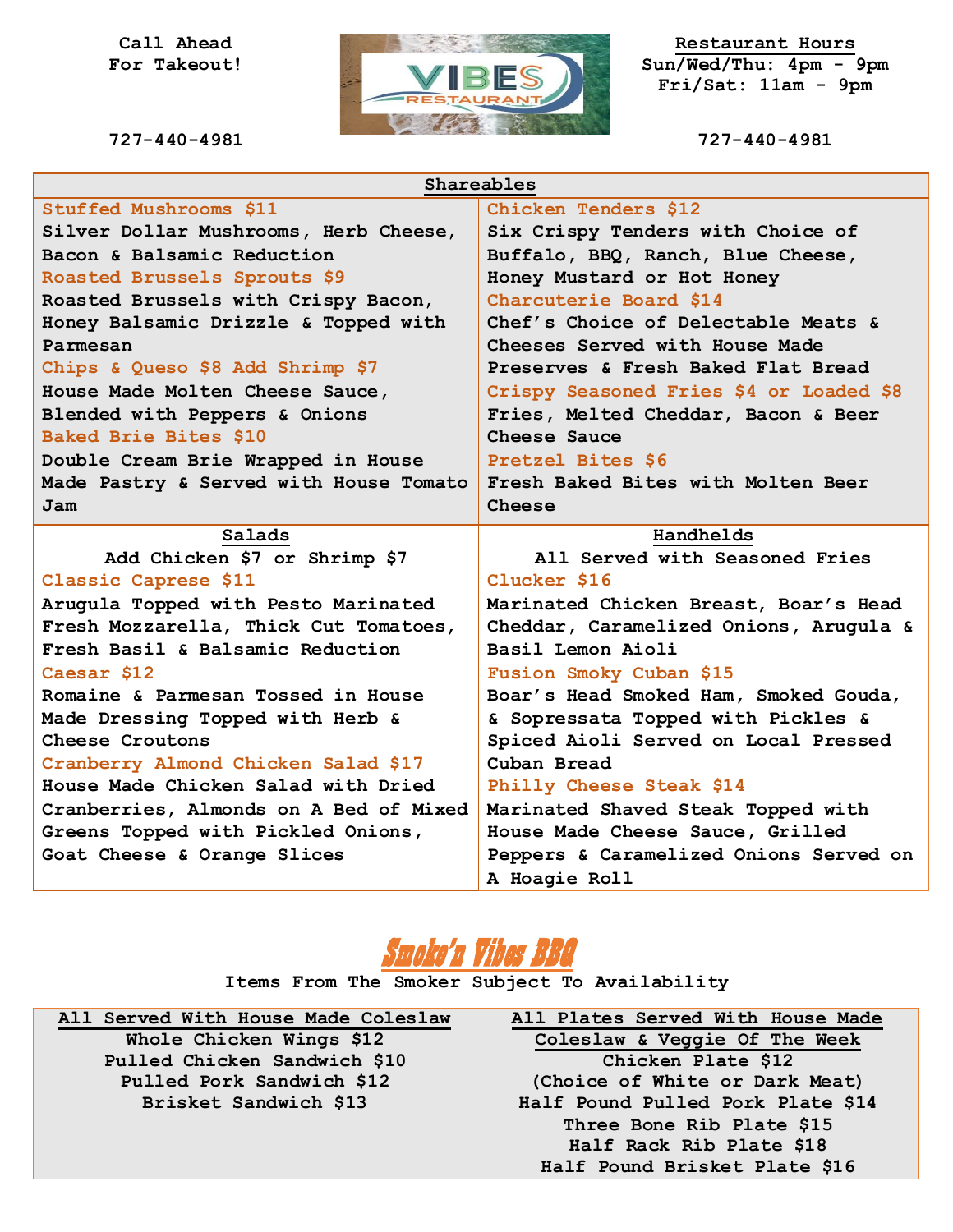#### **Call Ahead For Takeout!**

**727-440-4981**



**Restaurant Hours Sun/Wed/Thu: 4pm - 9pm Fri/Sat: 11am - 9pm**

**727-440-4981**

| Shareables                             |                                         |
|----------------------------------------|-----------------------------------------|
| Stuffed Mushrooms \$11                 | Chicken Tenders \$12                    |
| Silver Dollar Mushrooms, Herb Cheese,  | Six Crispy Tenders with Choice of       |
| Bacon & Balsamic Reduction             | Buffalo, BBQ, Ranch, Blue Cheese,       |
| Roasted Brussels Sprouts \$9           | Honey Mustard or Hot Honey              |
| Roasted Brussels with Crispy Bacon,    | Charcuterie Board \$14                  |
| Honey Balsamic Drizzle & Topped with   | Chef's Choice of Delectable Meats &     |
| Parmesan                               | Cheeses Served with House Made          |
| Chips & Queso \$8 Add Shrimp \$7       | Preserves & Fresh Baked Flat Bread      |
| House Made Molten Cheese Sauce,        | Crispy Seasoned Fries \$4 or Loaded \$8 |
| Blended with Peppers & Onions          | Fries, Melted Cheddar, Bacon & Beer     |
| Baked Brie Bites \$10                  | Cheese Sauce                            |
| Double Cream Brie Wrapped in House     | Pretzel Bites \$6                       |
| Made Pastry & Served with House Tomato | Fresh Baked Bites with Molten Beer      |
| Jam                                    | Cheese                                  |
|                                        |                                         |
| Salads                                 | Handhelds                               |
| Add Chicken \$7 or Shrimp \$7          | All Served with Seasoned Fries          |
| Classic Caprese \$11                   | Clucker \$16                            |
| Arugula Topped with Pesto Marinated    | Marinated Chicken Breast, Boar's Head   |
| Fresh Mozzarella, Thick Cut Tomatoes,  | Cheddar, Caramelized Onions, Arugula &  |
| Fresh Basil & Balsamic Reduction       | Basil Lemon Aioli                       |
| Caesar \$12                            | Fusion Smoky Cuban \$15                 |
| Romaine & Parmesan Tossed in House     | Boar's Head Smoked Ham, Smoked Gouda,   |
| Made Dressing Topped with Herb &       | & Sopressata Topped with Pickles &      |
| Cheese Croutons                        | Spiced Aioli Served on Local Pressed    |
| Cranberry Almond Chicken Salad \$17    | Cuban Bread                             |
| House Made Chicken Salad with Dried    | Philly Cheese Steak \$14                |
| Cranberries, Almonds on A Bed of Mixed | Marinated Shaved Steak Topped with      |
| Greens Topped with Pickled Onions,     | House Made Cheese Sauce, Grilled        |
| Goat Cheese & Orange Slices            | Peppers & Caramelized Onions Served on  |



**Items From The Smoker Subject To Availability**

**All Served With House Made Coleslaw Whole Chicken Wings \$12 Pulled Chicken Sandwich \$10 Pulled Pork Sandwich \$12 Brisket Sandwich \$13**

**All Plates Served With House Made Coleslaw & Veggie Of The Week Chicken Plate \$12 (Choice of White or Dark Meat) Half Pound Pulled Pork Plate \$14 Three Bone Rib Plate \$15 Half Rack Rib Plate \$18 Half Pound Brisket Plate \$16**